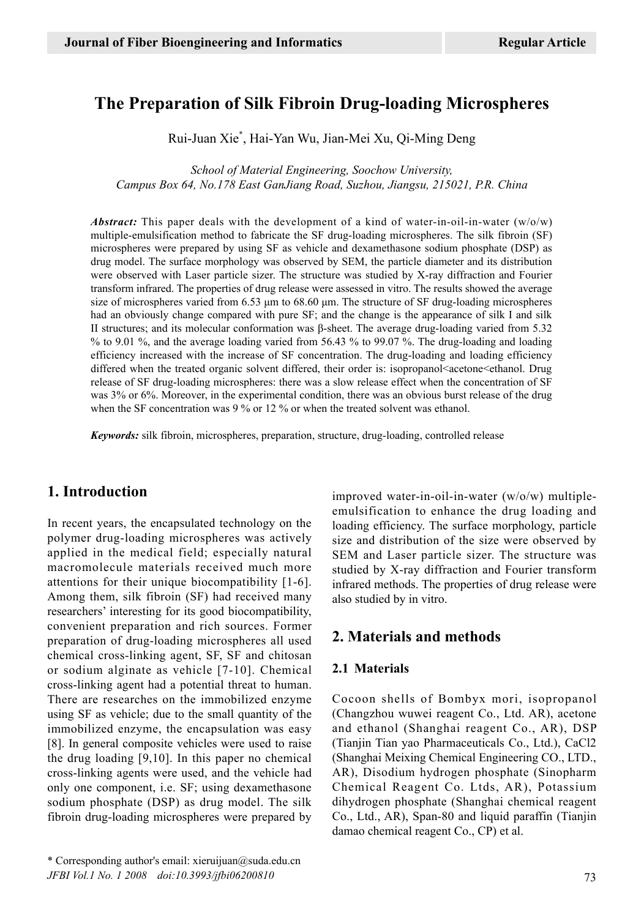# **The Preparation of Silk Fibroin Drug-loading Microspheres**

Rui-Juan Xie\* , Hai-Yan Wu, Jian-Mei Xu, Qi-Ming Deng

*School of Material Engineering, Soochow University, Campus Box 64, No.178 East GanJiang Road, Suzhou, Jiangsu, 215021, P.R. China*

*Abstract:* This paper deals with the development of a kind of water-in-oil-in-water (w/o/w) multiple-emulsification method to fabricate the SF drug-loading microspheres. The silk fibroin (SF) microspheres were prepared by using SF as vehicle and dexamethasone sodium phosphate (DSP) as drug model. The surface morphology was observed by SEM, the particle diameter and its distribution were observed with Laser particle sizer. The structure was studied by X-ray diffraction and Fourier transform infrared. The properties of drug release were assessed in vitro. The results showed the average size of microspheres varied from 6.53 μm to 68.60 μm. The structure of SF drug-loading microspheres had an obviously change compared with pure SF; and the change is the appearance of silk I and silk II structures; and its molecular conformation was β-sheet. The average drug-loading varied from 5.32 % to 9.01 %, and the average loading varied from 56.43 % to 99.07 %. The drug-loading and loading efficiency increased with the increase of SF concentration. The drug-loading and loading efficiency differed when the treated organic solvent differed, their order is: isopropanol<acetone<ethanol. Drug release of SF drug-loading microspheres: there was a slow release effect when the concentration of SF was 3% or 6%. Moreover, in the experimental condition, there was an obvious burst release of the drug when the SF concentration was 9 % or 12 % or when the treated solvent was ethanol.

*Keywords:* silk fibroin, microspheres, preparation, structure, drug-loading, controlled release

# **1. Introduction**

In recent years, the encapsulated technology on the polymer drug-loading microspheres was actively applied in the medical field; especially natural macromolecule materials received much more attentions for their unique biocompatibility [1-6]. Among them, silk fibroin (SF) had received many researchers' interesting for its good biocompatibility, convenient preparation and rich sources. Former preparation of drug-loading microspheres all used chemical cross-linking agent, SF, SF and chitosan or sodium alginate as vehicle [7-10]. Chemical cross-linking agent had a potential threat to human. There are researches on the immobilized enzyme using SF as vehicle; due to the small quantity of the immobilized enzyme, the encapsulation was easy [8]. In general composite vehicles were used to raise the drug loading [9,10]. In this paper no chemical cross-linking agents were used, and the vehicle had only one component, i.e. SF; using dexamethasone sodium phosphate (DSP) as drug model. The silk fibroin drug-loading microspheres were prepared by

*JFBI Vol.1 No. 1 2008* 73 *doi:10.3993/jfbi06200810* \* Corresponding author's email: xieruijuan@suda.edu.cn

improved water-in-oil-in-water (w/o/w) multipleemulsification to enhance the drug loading and loading efficiency. The surface morphology, particle size and distribution of the size were observed by SEM and Laser particle sizer. The structure was studied by X-ray diffraction and Fourier transform infrared methods. The properties of drug release were also studied by in vitro.

# **2. Materials and methods**

#### **2.1 Materials**

Cocoon shells of Bombyx mori, isopropanol (Changzhou wuwei reagent Co., Ltd. AR), acetone and ethanol (Shanghai reagent Co., AR), DSP (Tianjin Tian yao Pharmaceuticals Co., Ltd.), CaCl2 (Shanghai Meixing Chemical Engineering CO., LTD., AR), Disodium hydrogen phosphate (Sinopharm Chemical Reagent Co. Ltds, AR), Potassium dihydrogen phosphate (Shanghai chemical reagent Co., Ltd., AR), Span-80 and liquid paraffin (Tianjin damao chemical reagent Co., CP) et al.